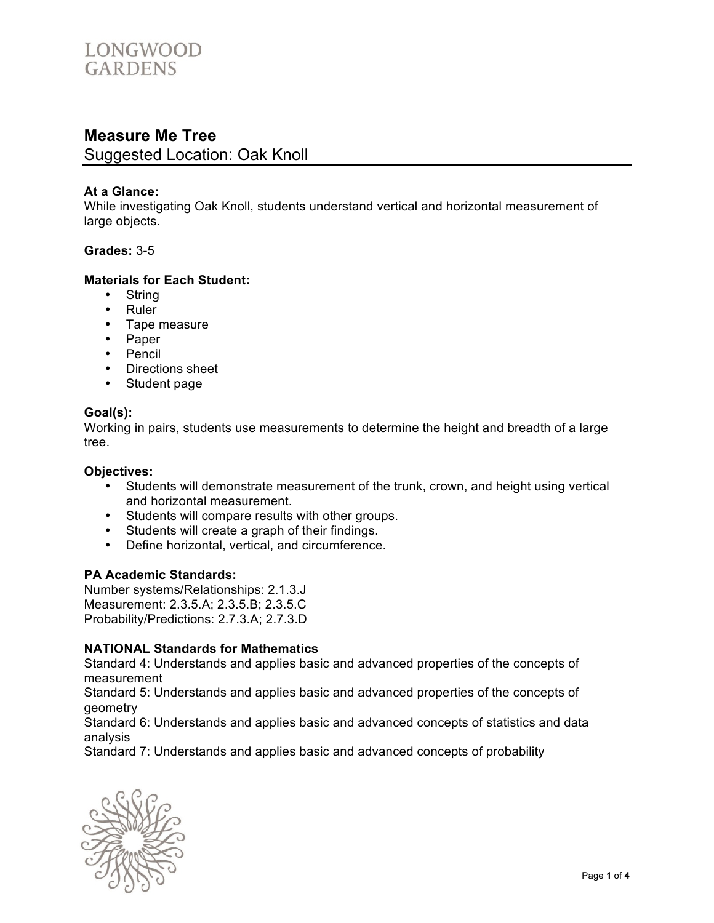

# **Measure Me Tree**

Suggested Location: Oak Knoll

### **At a Glance:**

While investigating Oak Knoll, students understand vertical and horizontal measurement of large objects.

### **Grades:** 3-5

#### **Materials for Each Student:**

- String
- Ruler
- Tape measure
- Paper
- Pencil
- Directions sheet
- Student page

#### **Goal(s):**

Working in pairs, students use measurements to determine the height and breadth of a large tree.

#### **Objectives:**

- Students will demonstrate measurement of the trunk, crown, and height using vertical and horizontal measurement.
- Students will compare results with other groups.
- Students will create a graph of their findings.<br>• Define horizontal vertical and circumference
- Define horizontal, vertical, and circumference.

#### **PA Academic Standards:**

Number systems/Relationships: 2.1.3.J Measurement: 2.3.5.A; 2.3.5.B; 2.3.5.C Probability/Predictions: 2.7.3.A; 2.7.3.D

### **NATIONAL Standards for Mathematics**

Standard 4: Understands and applies basic and advanced properties of the concepts of measurement

Standard 5: Understands and applies basic and advanced properties of the concepts of geometry

Standard 6: Understands and applies basic and advanced concepts of statistics and data analysis

Standard 7: Understands and applies basic and advanced concepts of probability

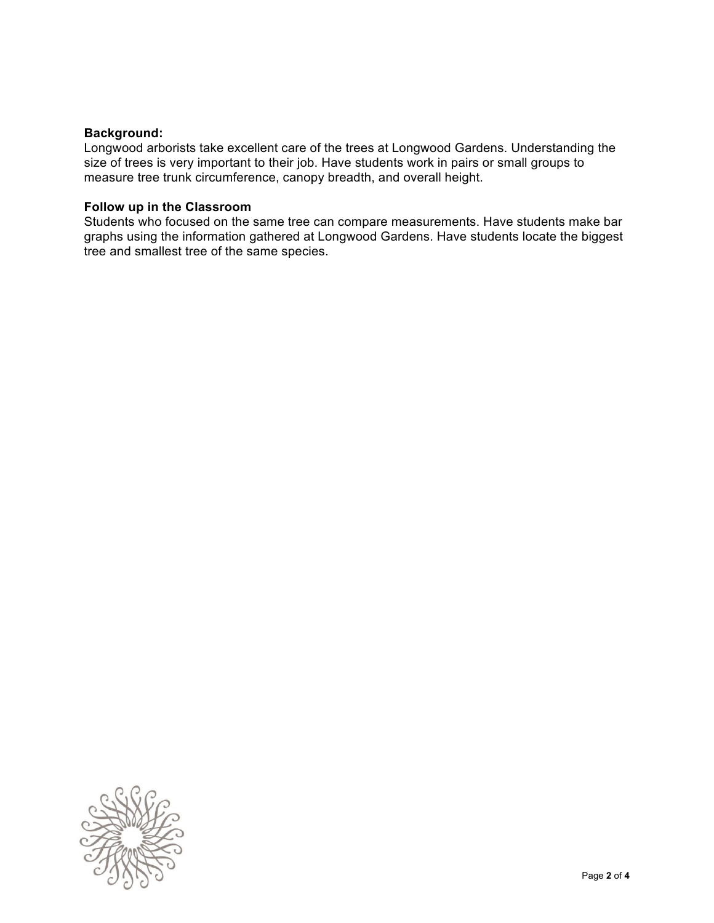### **Background:**

Longwood arborists take excellent care of the trees at Longwood Gardens. Understanding the size of trees is very important to their job. Have students work in pairs or small groups to measure tree trunk circumference, canopy breadth, and overall height.

#### **Follow up in the Classroom**

Students who focused on the same tree can compare measurements. Have students make bar graphs using the information gathered at Longwood Gardens. Have students locate the biggest tree and smallest tree of the same species.

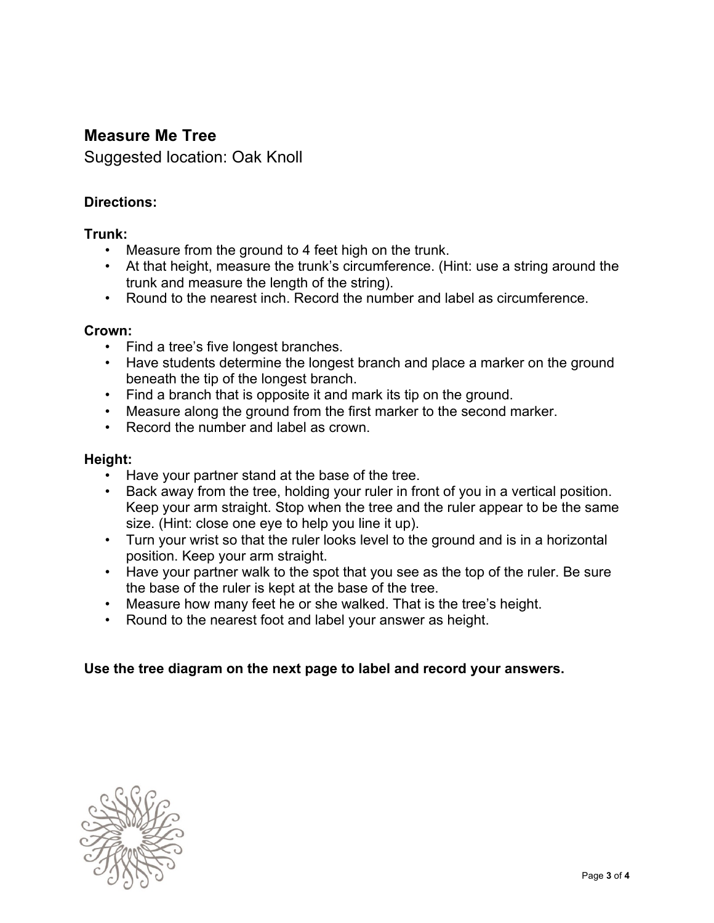# **Measure Me Tree**

Suggested location: Oak Knoll

## **Directions:**

## **Trunk:**

- Measure from the ground to 4 feet high on the trunk.
- At that height, measure the trunk's circumference. (Hint: use a string around the trunk and measure the length of the string).
- Round to the nearest inch. Record the number and label as circumference.

### **Crown:**

- Find a tree's five longest branches.
- Have students determine the longest branch and place a marker on the ground beneath the tip of the longest branch.
- Find a branch that is opposite it and mark its tip on the ground.
- Measure along the ground from the first marker to the second marker.
- Record the number and label as crown.

### **Height:**

- Have your partner stand at the base of the tree.
- Back away from the tree, holding your ruler in front of you in a vertical position. Keep your arm straight. Stop when the tree and the ruler appear to be the same size. (Hint: close one eye to help you line it up).
- Turn your wrist so that the ruler looks level to the ground and is in a horizontal position. Keep your arm straight.
- Have your partner walk to the spot that you see as the top of the ruler. Be sure the base of the ruler is kept at the base of the tree.
- Measure how many feet he or she walked. That is the tree's height.
- Round to the nearest foot and label your answer as height.

## **Use the tree diagram on the next page to label and record your answers.**